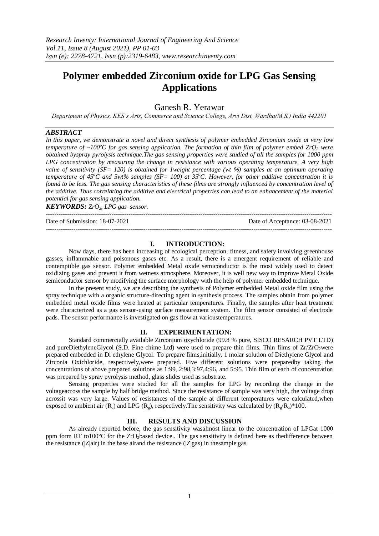# **Polymer embedded Zirconium oxide for LPG Gas Sensing Applications**

Ganesh R. Yerawar

*Department of Physics, KES's Arts, Commerce and Science College, Arvi Dist. Wardha(M.S.) India 442201*

## *ABSTRACT*

*In this paper, we demonstrate a novel and direct synthesis of polymer embedded Zirconium oxide at very low temperature of ~100<sup>°</sup>C for gas sensing application. The formation of thin film of polymer embed*  $ZrO<sub>2</sub>$  *were obtained byspray pyrolysis technique.The gas sensing properties were studied of all the samples for 1000 ppm LPG concentration by measuring the change in resistance with various operating temperature. A very high value of sensitivity (SF= 120) is obtained for 1weight percentage (wt %) samples at an optimum operating temperature of 45<sup>o</sup>C and 5wt% samples (SF= 100) at 35<sup>o</sup>C. However, for other additive concentration it is found to be less. The gas sensing characteristics of these films are strongly influenced by concentration level of the additive. Thus correlating the additive and electrical properties can lead to an enhancement of the material potential for gas sensing application.*

*KEYWORDS: ZrO2, LPG gas sensor.*

--------------------------------------------------------------------------------------------------------------------------------------- Date of Submission: 18-07-2021 Date of Acceptance: 03-08-2021 ---------------------------------------------------------------------------------------------------------------------------------------

#### **I. INTRODUCTION:**

Now days, there has been increasing of ecological perception, fitness, and safety involving greenhouse gasses, inflammable and poisonous gases etc. As a result, there is a emergent requirement of reliable and contemptible gas sensor. Polymer embedded Metal oxide semiconductor is the most widely used to detect oxidizing gases and prevent it from wetness atmosphere. Moreover, it is well new way to improve Metal Oxide semiconductor sensor by modifying the surface morphology with the help of polymer embedded technique.

In the present study, we are describing the synthesis of Polymer embedded Metal oxide film using the spray technique with a organic structure-directing agent in synthesis process. The samples obtain from polymer embedded metal oxide films were heated at particular temperatures. Finally, the samples after heat treatment were characterized as a gas sensor-using surface measurement system. The film sensor consisted of electrode pads. The sensor performance is investigated on gas flow at varioustemperatures.

#### **II. EXPERIMENTATION:**

Standard commercially available Zirconium oxychloride (99.8 % pure, SISCO RESARCH PVT LTD) and pureDiethyleneGlycol (S.D. Fine chime Ltd) were used to prepare thin films. Thin films of  $Zr/ZrO<sub>2</sub>$ were prepared embedded in Di ethylene Glycol. To prepare films,initially, 1 molar solution of Diethylene Glycol and Zirconia Oxichloride, respectively,were prepared. Five different solutions were preparedby taking the concentrations of above prepared solutions as 1:99, 2:98,3:97,4:96, and 5:95. Thin film of each of concentration was prepared by spray pyrolysis method, glass slides used as substrate.

Sensing properties were studied for all the samples for LPG by recording the change in the voltageacross the sample by half bridge method. Since the resistance of sample was very high, the voltage drop acrossit was very large. Values of resistances of the sample at different temperatures were calculated,when exposed to ambient air ( $R_a$ ) and LPG ( $R_g$ ), respectively. The sensitivity was calculated by ( $R_g/R_a$ )\*100.

### **III. RESULTS AND DISCUSSION**

As already reported before, the gas sensitivity wasalmost linear to the concentration of LPGat 1000 ppm form RT to100 $^{\circ}$ C for the ZrO<sub>2</sub>based device.. The gas sensitivity is defined here as thedifference between the resistance  $(|Z|$ air) in the base airand the resistance  $(|Z|$ gas) in thesample gas.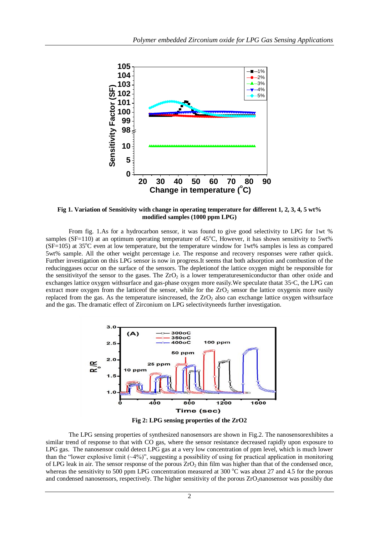

**Fig 1. Variation of Sensitivity with change in operating temperature for different 1, 2, 3, 4, 5 wt% modified samples (1000 ppm LPG)**

From fig. 1.As for a hydrocarbon sensor, it was found to give good selectivity to LPG for 1wt % samples (SF=110) at an optimum operating temperature of  $45^{\circ}$ C, However, it has shown sensitivity to 5wt%  $(SF=105)$  at 35<sup>o</sup>C even at low temperature, but the temperature window for 1wt% samples is less as compared 5wt% sample. All the other weight percentage i.e. The response and recovery responses were rather quick. Further investigation on this LPG sensor is now in progress.It seems that both adsorption and combustion of the reducinggases occur on the surface of the sensors. The depletionof the lattice oxygen might be responsible for the sensitivity of the sensor to the gases. The  $ZrO<sub>2</sub>$  is a lower temperaturesemiconductor than other oxide and exchanges lattice oxygen withsurface and gas-phase oxygen more easily.We speculate thatat 35◦C, the LPG can extract more oxygen from the lattice of the sensor, while for the  $ZrO<sub>2</sub>$  sensor the lattice oxygenis more easily replaced from the gas. As the temperature is increased, the  $ZrO<sub>2</sub>$  also can exchange lattice oxygen withsurface and the gas. The dramatic effect of Zirconium on LPG selectivityneeds further investigation.



The LPG sensing properties of synthesized nanosensors are shown in Fig.2. The nanosensorexhibites a similar trend of response to that with CO gas, where the sensor resistance decreased rapidly upon exposure to LPG gas. The nanosensor could detect LPG gas at a very low concentration of ppm level, which is much lower than the "lower explosive limit  $(\sim 4\%)$ ", suggesting a possibility of using for practical application in monitoring of LPG leak in air. The sensor response of the porous  $ZrO<sub>2</sub>$  thin film was higher than that of the condensed once, whereas the sensitivity to 500 ppm LPG concentration measured at 300  $^{\circ}$ C was about 27 and 4.5 for the porous and condensed nanosensors, respectively. The higher sensitivity of the porous ZrO<sub>2</sub>nanosensor was possibly due